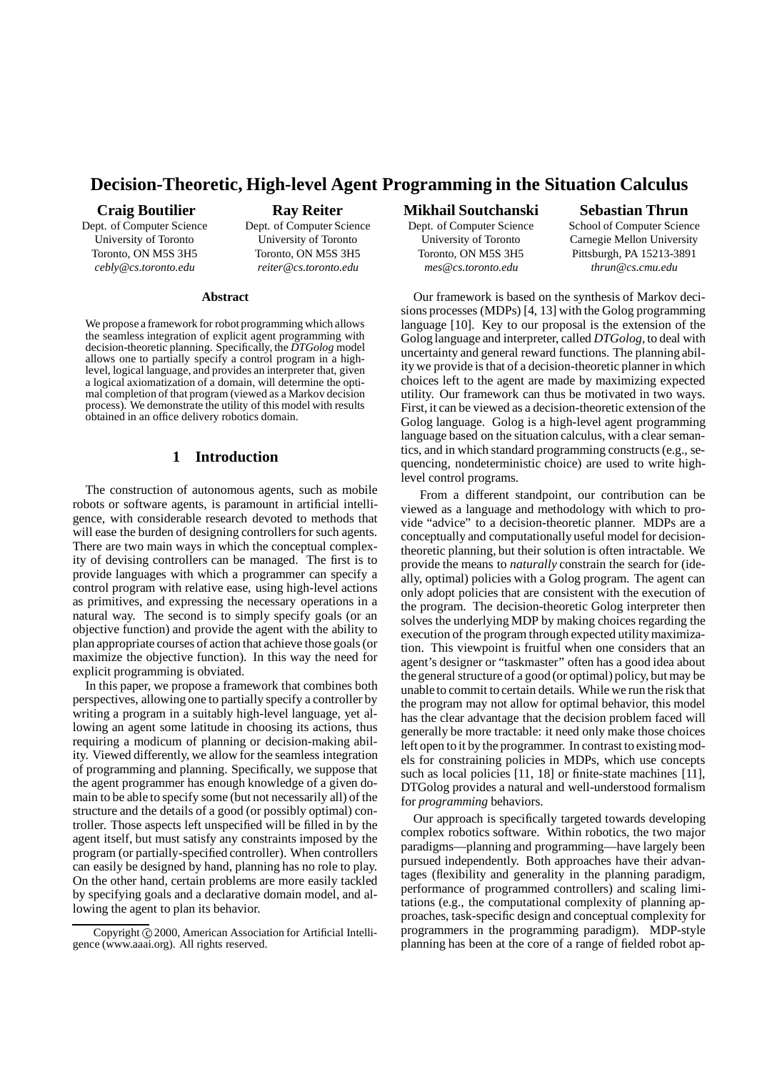# **Decision-Theoretic, High-level Agent Programming in the Situation Calculus**

#### **Craig Boutilier**

Dept. of Computer Science University of Toronto Toronto, ON M5S 3H5 *cebly@cs.toronto.edu*

### **Ray Reiter**

Dept. of Computer Science University of Toronto Toronto, ON M5S 3H5 *reiter@cs.toronto.edu*

#### **Abstract**

We propose a framework for robot programming which allows the seamless integration of explicit agent programming with decision-theoretic planning. Specifically, the *DTGolog* model allows one to partially specify a control program in a highlevel, logical language, and provides an interpreter that, given a logical axiomatization of a domain, will determine the optimal completion of that program (viewed as a Markov decision process). We demonstrate the utility of this model with results obtained in an office delivery robotics domain.

# **1 Introduction**

The construction of autonomous agents, such as mobile robots or software agents, is paramount in artificial intelligence, with considerable research devoted to methods that will ease the burden of designing controllers for such agents. There are two main ways in which the conceptual complexity of devising controllers can be managed. The first is to provide languages with which a programmer can specify a control program with relative ease, using high-level actions as primitives, and expressing the necessary operations in a natural way. The second is to simply specify goals (or an objective function) and provide the agent with the ability to plan appropriate courses of action that achieve those goals(or maximize the objective function). In this way the need for explicit programming is obviated.

In this paper, we propose a framework that combines both perspectives, allowing one to partially specify a controller by writing a program in a suitably high-level language, yet allowing an agent some latitude in choosing its actions, thus requiring a modicum of planning or decision-making ability. Viewed differently, we allow for the seamless integration of programming and planning. Specifically, we suppose that the agent programmer has enough knowledge of a given domain to be able to specify some (but not necessarily all) of the structure and the details of a good (or possibly optimal) controller. Those aspects left unspecified will be filled in by the agent itself, but must satisfy any constraints imposed by the program (or partially-specified controller). When controllers can easily be designed by hand, planning has no role to play. On the other hand, certain problems are more easily tackled by specifying goals and a declarative domain model, and allowing the agent to plan its behavior.

#### **Mikhail Soutchanski**

Dept. of Computer Science University of Toronto Toronto, ON M5S 3H5 *mes@cs.toronto.edu*

### **Sebastian Thrun**

School of Computer Science Carnegie Mellon University Pittsburgh, PA 15213-3891 *thrun@cs.cmu.edu*

Our framework is based on the synthesis of Markov decisions processes (MDPs) [4, 13] with the Golog programming language [10]. Key to our proposal is the extension of the Golog language and interpreter, called *DTGolog*, to deal with uncertainty and general reward functions. The planning ability we provide is that of a decision-theoretic planner in which choices left to the agent are made by maximizing expected utility. Our framework can thus be motivated in two ways. First, it can be viewed as a decision-theoretic extension of the Golog language. Golog is a high-level agent programming language based on the situation calculus, with a clear semantics, and in which standard programming constructs (e.g., sequencing, nondeterministic choice) are used to write highlevel control programs.

From a different standpoint, our contribution can be viewed as a language and methodology with which to provide "advice" to a decision-theoretic planner. MDPs are a conceptually and computationally useful model for decisiontheoretic planning, but their solution is often intractable. We provide the means to *naturally* constrain the search for (ideally, optimal) policies with a Golog program. The agent can only adopt policies that are consistent with the execution of the program. The decision-theoretic Golog interpreter then solves the underlying MDP by making choices regarding the execution of the program through expected utilitymaximization. This viewpoint is fruitful when one considers that an agent's designer or "taskmaster" often has a good idea about the general structure of a good (or optimal) policy, but may be unable to commit to certain details. While we run the risk that the program may not allow for optimal behavior, this model has the clear advantage that the decision problem faced will generally be more tractable: it need only make those choices left open to it by the programmer. In contrast to existing models for constraining policies in MDPs, which use concepts such as local policies [11, 18] or finite-state machines [11], DTGolog provides a natural and well-understood formalism for *programming* behaviors.

Our approach is specifically targeted towards developing complex robotics software. Within robotics, the two major paradigms—planning and programming—have largely been pursued independently. Both approaches have their advantages (flexibility and generality in the planning paradigm, performance of programmed controllers) and scaling limitations (e.g., the computational complexity of planning approaches, task-specific design and conceptual complexity for programmers in the programming paradigm). MDP-style planning has been at the core of a range of fielded robot ap-

Copyright © 2000, American Association for Artificial Intelligence (www.aaai.org). All rights reserved.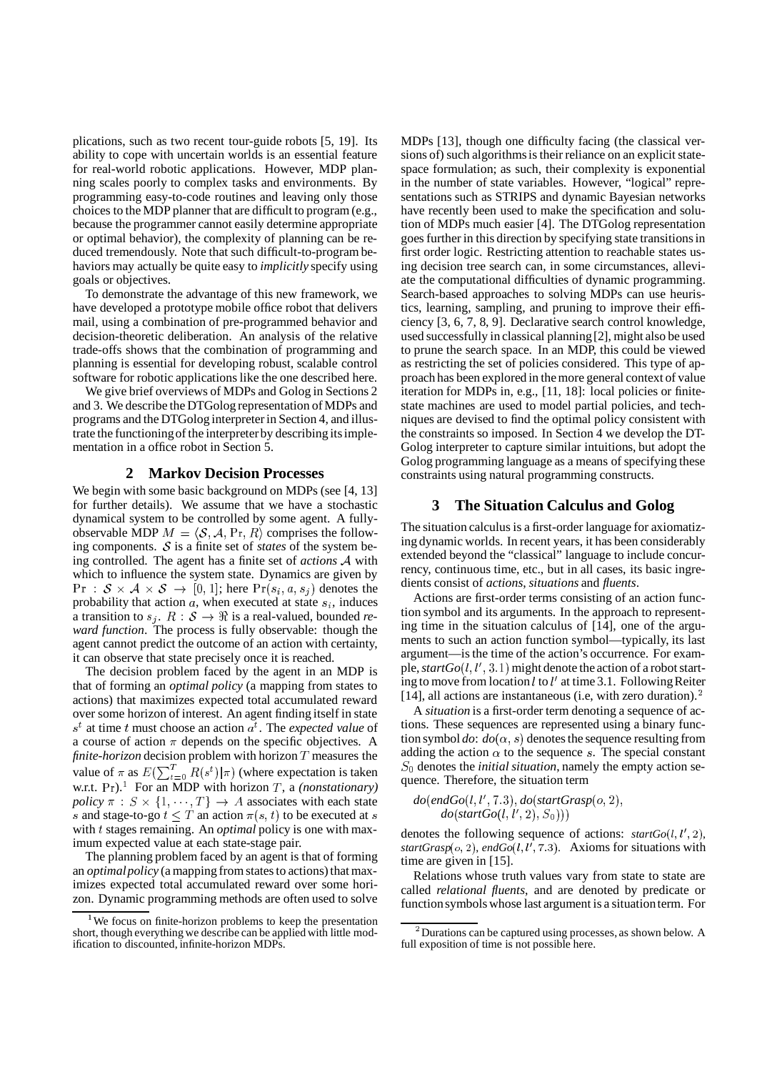plications, such as two recent tour-guide robots [5, 19]. Its ability to cope with uncertain worlds is an essential feature for real-world robotic applications. However, MDP planning scales poorly to complex tasks and environments. By programming easy-to-code routines and leaving only those choices to the MDP planner that are difficult to program (e.g., because the programmer cannot easily determine appropriate or optimal behavior), the complexity of planning can be reduced tremendously. Note that such difficult-to-program behaviors may actually be quite easy to *implicitly* specify using goals or objectives.

To demonstrate the advantage of this new framework, we have developed a prototype mobile office robot that delivers mail, using a combination of pre-programmed behavior and decision-theoretic deliberation. An analysis of the relative trade-offs shows that the combination of programming and planning is essential for developing robust, scalable control software for robotic applications like the one described here.

We give brief overviews of MDPs and Golog in Sections 2 and 3. We describe the DTGolog representation of MDPs and programs and the DTGolog interpreterin Section 4, and illustrate the functioning of the interpreter by describing its implementation in a office robot in Section 5.

### **2 Markov Decision Processes**

We begin with some basic background on MDPs (see [4, 13] for further details). We assume that we have a stochastic dynamical system to be controlled by some agent. A fullyobservable MDP  $M = \langle S, A, \text{Pr}, R \rangle$  comprises the following components.  $S$  is a finite set of *states* of the system being controlled. The agent has a finite set of *actions* A with which to influence the system state. Dynamics are given by  $\Pr : \mathcal{S} \times \mathcal{A} \times \mathcal{S} \rightarrow [0,1]$ ; here  $\Pr(s_i, a, s_j)$  denotes the probability that action  $a$ , when executed at state  $s_i$ , induces a transition to  $s_i$ .  $R : S \to \mathbb{R}$  is a real-valued, bounded *reward function*. The process is fully observable: though the agent cannot predict the outcome of an action with certainty, it can observe that state precisely once it is reached.

The decision problem faced by the agent in an MDP is that of forming an *optimal policy* (a mapping from states to actions) that maximizes expected total accumulated reward over some horizon of interest. An agent finding itself in state  $s<sup>t</sup>$  at time t must choose an action  $a<sup>t</sup>$ . The *expected value* of a course of action  $\pi$  depends on the specific objectives. A *finite-horizon* decision problem with horizon  $T$  measures the value of  $\pi$  as  $E(\sum_{t=0}^{T} R(s^t) | \pi)$  (where expectation is taken w.r.t. Pr).<sup>1</sup> For an MDP with horizon T, a *(nonstationary) policy*  $\pi : S \times \{1, \dots, T\} \rightarrow A$  associates with each state s and stage-to-go  $t \leq T$  an action  $\pi(s, t)$  to be executed at s with t stages remaining. An *optimal* policy is one with maximum expected value at each state-stage pair.

The planning problem faced by an agent is that of forming an *optimal policy* (a mapping from states to actions) that maximizes expected total accumulated reward over some horizon. Dynamic programming methods are often used to solve MDPs [13], though one difficulty facing (the classical versions of) such algorithms is their reliance on an explicit statespace formulation; as such, their complexity is exponential in the number of state variables. However, "logical" representations such as STRIPS and dynamic Bayesian networks have recently been used to make the specification and solution of MDPs much easier [4]. The DTGolog representation goes further in this direction by specifying state transitionsin first order logic. Restricting attention to reachable states using decision tree search can, in some circumstances, alleviate the computational difficulties of dynamic programming. Search-based approaches to solving MDPs can use heuristics, learning, sampling, and pruning to improve their efficiency [3, 6, 7, 8, 9]. Declarative search control knowledge, used successfully in classical planning[2], might also be used to prune the search space. In an MDP, this could be viewed as restricting the set of policies considered. This type of approach has been explored in themore general context of value iteration for MDPs in, e.g., [11, 18]: local policies or finitestate machines are used to model partial policies, and techniques are devised to find the optimal policy consistent with the constraints so imposed. In Section 4 we develop the DT-Golog interpreter to capture similar intuitions, but adopt the Golog programming language as a means of specifying these constraints using natural programming constructs.

### **3 The Situation Calculus and Golog**

The situation calculus is a first-order language for axiomatizing dynamic worlds. In recent years, it has been considerably extended beyond the "classical" language to include concurrency, continuous time, etc., but in all cases, its basic ingredients consist of *actions*, *situations* and *fluents*.

Actions are first-order terms consisting of an action function symbol and its arguments. In the approach to representing time in the situation calculus of [14], one of the arguments to such an action function symbol—typically, its last argument—is the time of the action's occurrence. For example,  $startGo(l, l', 3.1)$  might denote the action of a robot starting to move from location  $\ell$  to  $\ell'$  at time 3.1. Following Reiter [14], all actions are instantaneous (i.e, with zero duration). $<sup>2</sup>$ </sup>

A *situation* is a first-order term denoting a sequence of actions. These sequences are represented using a binary function symbol *do*:  $do(\alpha, s)$  denotes the sequence resulting from adding the action  $\alpha$  to the sequence s. The special constant  $S_0$  denotes the *initial situation*, namely the empty action sequence. Therefore, the situation term

$$
do(endGo(l, l', 7.3), do(startGrasp(o, 2),do(startGo(l, l', 2), S0)))
$$

denotes the following sequence of actions:  $startGo(l, l', 2)$ ,  $startGrasp(o, 2)$ ,  $endGo(l, l', 7.3)$ . Axioms for situations with time are given in [15].

Relations whose truth values vary from state to state are called *relational fluents*, and are denoted by predicate or functionsymbols whose last argument is a situationterm. For

<sup>&</sup>lt;sup>1</sup>We focus on finite-horizon problems to keep the presentation short, though everything we describe can be applied with little modification to discounted, infinite-horizon MDPs.

 $2^2$ Durations can be captured using processes, as shown below. A full exposition of time is not possible here.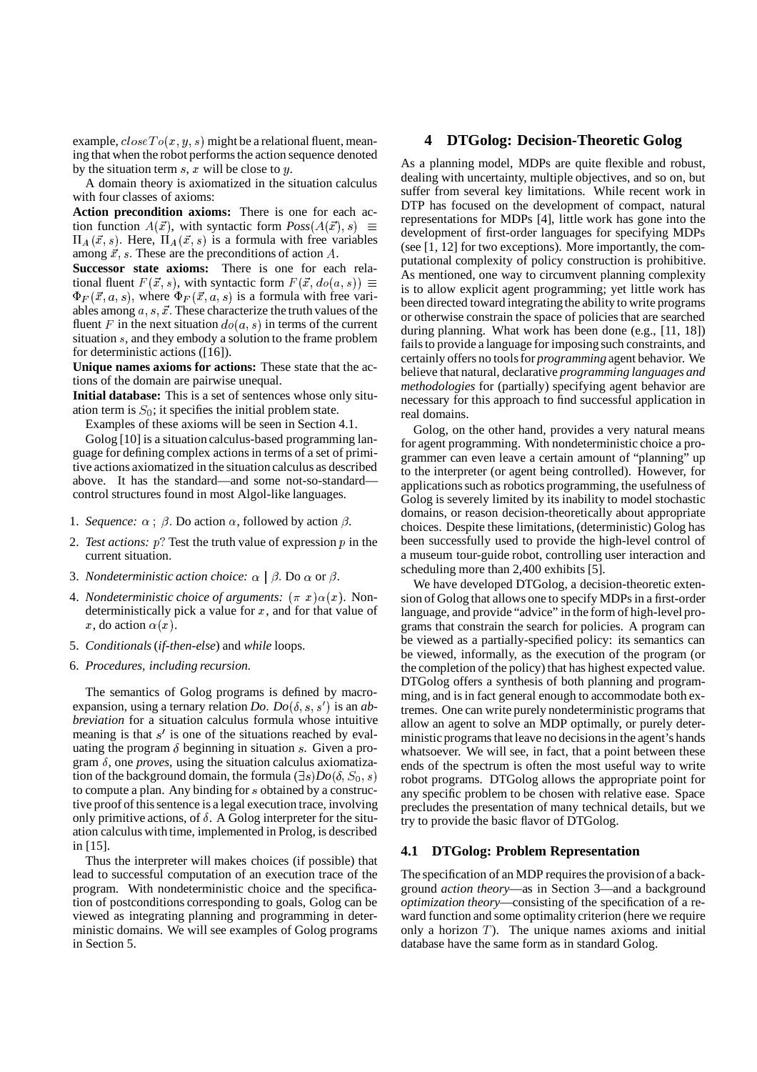example,  $closeTo(x, y, s)$  might be a relational fluent, meaning that when the robot performs the action sequence denoted by the situation term  $s$ ,  $x$  will be close to  $y$ .

A domain theory is axiomatized in the situation calculus with four classes of axioms:

**Action precondition axioms:** There is one for each action function  $A(\vec{x})$ , with syntactic form  $Poss(A(\vec{x}), s) \equiv$  development  $\Pi_A(\vec{x}, s)$ . Here,  $\Pi_A(\vec{x}, s)$  is a formula with free variables among  $\vec{x}$ , s. These are the preconditions of action A.

**Successor state axioms:** There is one for each relational fluent  $F(\vec{x}, s)$ , with syntactic form  $F(\vec{x}, do(a, s)) \equiv \begin{cases} \text{As infinite} \\ \text{is the allow} \end{cases}$  $\Phi_F(\vec{x}, a, s)$ , where  $\Phi_F(\vec{x}, a, s)$  is a formula with free variables among  $a, s, \vec{x}$ . These characterize the truth values of the fluent F in the next situation  $do(a, s)$  in terms of the current situation  $s$ , and they embody a solution to the frame problem for deterministic actions ([16]).

**Unique names axioms for actions:** These state that the actions of the domain are pairwise unequal.

**Initial database:** This is a set of sentences whose only situation term is  $S_0$ ; it specifies the initial problem state.

Examples of these axioms will be seen in Section 4.1.

Golog [10] is a situation calculus-based programming language for defining complex actions in terms of a set of primitive actions axiomatized in the situation calculus as described above. It has the standard—and some not-so-standard control structures found in most Algol-like languages.

- 1. *Sequence:*  $\alpha$ :  $\beta$ . Do action  $\alpha$ , followed by action  $\beta$ .
- 2. *Test actions:*  $p$ ? Test the truth value of expression  $p$  in the current situation.
- 3. *Nondeterministic action choice:*  $\alpha \mid \beta$ . Do  $\alpha$  or  $\beta$ .
- 4. *Nondeterministic choice of arguments:*  $(\pi x) \alpha(x)$ . Nondeterministically pick a value for  $x$ , and for that value of x, do action  $\alpha(x)$ .
- 5. *Conditionals* (*if-then-else*) and *while* loops.
- 6. *Procedures, including recursion.*

The semantics of Golog programs is defined by macroexpansion, using a ternary relation *Do.*  $Do(\delta, s, s')$  is an *abbreviation* for a situation calculus formula whose intuitive meaning is that  $s'$  is one of the situations reached by evaluating the program  $\delta$  beginning in situation s. Given a program  $\delta$ , one *proves*, using the situation calculus axiomatization of the background domain, the formula  $(\exists s) Do(\delta, S_0, s)$ to compute a plan. Any binding for  $s$  obtained by a constructive proof of this sentence is a legal execution trace, involving only primitive actions, of  $\delta$ . A Golog interpreter for the situation calculus with time, implemented in Prolog, is described in [15].

Thus the interpreter will makes choices (if possible) that lead to successful computation of an execution trace of the program. With nondeterministic choice and the specification of postconditions corresponding to goals, Golog can be viewed as integrating planning and programming in deterministic domains. We will see examples of Golog programs in Section 5.

## **4 DTGolog: Decision-Theoretic Golog**

As a planning model, MDPs are quite flexible and robust, dealing with uncertainty, multiple objectives, and so on, but suffer from several key limitations. While recent work in DTP has focused on the development of compact, natural representations for MDPs [4], little work has gone into the development of first-order languages for specifying MDPs (see [1, 12] for two exceptions). More importantly, the computational complexity of policy construction is prohibitive. As mentioned, one way to circumvent planning complexity is to allow explicit agent programming; yet little work has been directed toward integrating the ability to write programs or otherwise constrain the space of policies that are searched during planning. What work has been done (e.g., [11, 18]) fails to provide a language for imposing such constraints, and certainly offers no toolsfor *programming* agent behavior. We believe that natural, declarative *programming languages and methodologies* for (partially) specifying agent behavior are necessary for this approach to find successful application in real domains.

Golog, on the other hand, provides a very natural means for agent programming. With nondeterministic choice a programmer can even leave a certain amount of "planning" up to the interpreter (or agent being controlled). However, for applications such as robotics programming, the usefulness of Golog is severely limited by its inability to model stochastic domains, or reason decision-theoretically about appropriate choices. Despite these limitations, (deterministic) Golog has been successfully used to provide the high-level control of a museum tour-guide robot, controlling user interaction and scheduling more than 2,400 exhibits [5].

We have developed DTGolog, a decision-theoretic extension of Golog that allows one to specify MDPs in a first-order language, and provide "advice" in the form of high-level programs that constrain the search for policies. A program can be viewed as a partially-specified policy: its semantics can be viewed, informally, as the execution of the program (or the completion of the policy) that has highest expected value. DTGolog offers a synthesis of both planning and programming, and is in fact general enough to accommodate both extremes. One can write purely nondeterministic programs that allow an agent to solve an MDP optimally, or purely deterministic programs that leave no decisions in the agent's hands whatsoever. We will see, in fact, that a point between these ends of the spectrum is often the most useful way to write robot programs. DTGolog allows the appropriate point for any specific problem to be chosen with relative ease. Space precludes the presentation of many technical details, but we try to provide the basic flavor of DTGolog.

### **4.1 DTGolog: Problem Representation**

The specification of an MDP requires the provision of a background *action theory*—as in Section 3—and a background *optimization theory*—consisting of the specification of a reward function and some optimality criterion (here we require only a horizon  $T$ ). The unique names axioms and initial database have the same form as in standard Golog.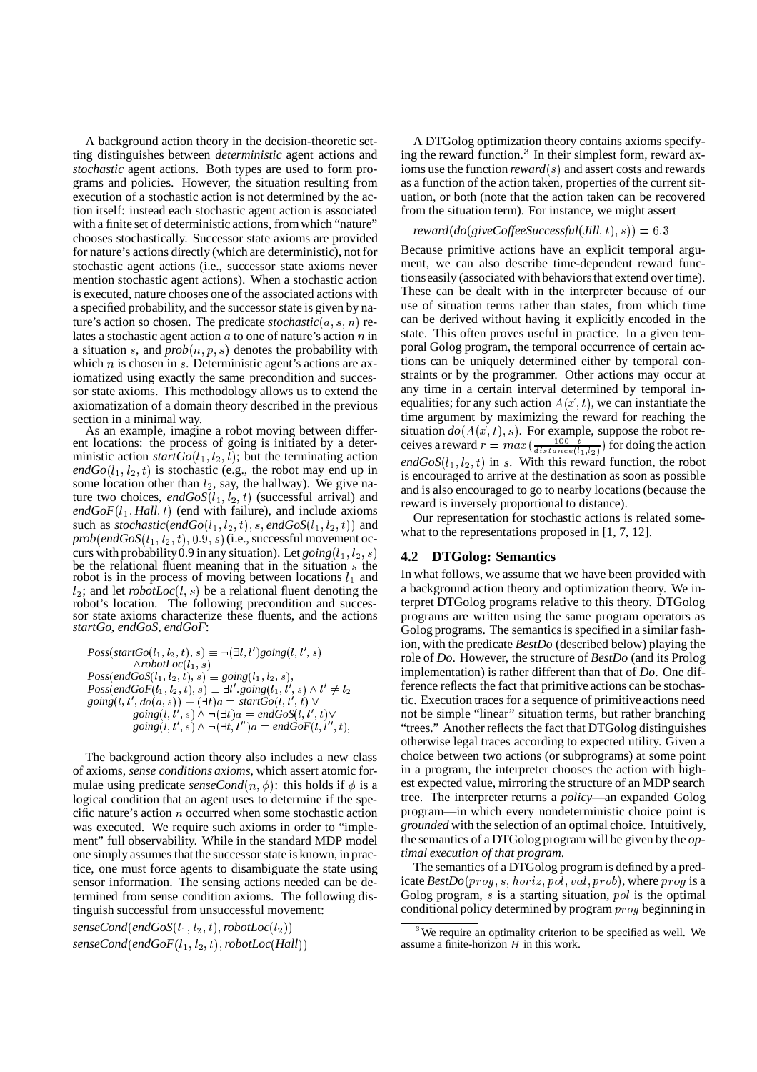A background action theory in the decision-theoretic setting distinguishes between *deterministic* agent actions and *stochastic* agent actions. Both types are used to form programs and policies. However, the situation resulting from execution of a stochastic action is not determined by the action itself: instead each stochastic agent action is associated with a finite set of deterministic actions, from which "nature" chooses stochastically. Successor state axioms are provided for nature's actions directly (which are deterministic), not for stochastic agent actions (i.e., successor state axioms never mention stochastic agent actions). When a stochastic action is executed, nature chooses one of the associated actions with a specified probability, and the successor state is given by nature's action so chosen. The predicate  $stochastic(a, s, n)$  relates a stochastic agent action  $a$  to one of nature's action  $n$  in a situation s, and  $prob(n, p, s)$  denotes the probability with which  $n$  is chosen in  $s$ . Deterministic agent's actions are axiomatized using exactly the same precondition and successor state axioms. This methodology allows us to extend the axiomatization of a domain theory described in the previous section in a minimal way.

As an example, imagine a robot moving between different locations: the process of going is initiated by a deterministic action  $startGo(l_1, l_2, t)$ ; but the terminating action  $endGo(l_1, l_2, t)$  is stochastic (e.g., the robot may end up in some location other than  $l_2$ , say, the hallway). We give nature two choices,  $endGoS(l_1, l_2, t)$  (successful arrival) and  $endGoF(l_1, Hall, t)$  (end with failure), and include axioms such as *stochastic*(*endGo*( $l_1$ ,  $l_2$ ,  $t$ ), *s*, *endGoS*( $l_1$ ,  $l_2$ ,  $t$ )) and  $prob(endGoS(l_1,l_2,t),0.9,s)$  (i.e., successful movement occurs with probability 0.9 in any situation). Let  $going (l_1, l_2, s)$ be the relational fluent meaning that in the situation  $s$  the robot is in the process of moving between locations  $l_1$  and  $l_2$ ; and let *robotLoc*( $l, s$ ) be a relational fluent denoting the robot's location. The following precondition and successor state axioms characterize these fluents, and the actions *startGo*, *endGoS*, *endGoF*:

$$
Poss(startGo(l_1, l_2, t), s) \equiv \neg(\exists l, l') going(l, l', s)
$$
\n
$$
\land robotLoc(l_1, s)
$$
\n
$$
Poss(endGoS(l_1, l_2, t), s) \equiv going(l_1, l_2, s),
$$
\n
$$
Poss(endGoF(l_1, l_2, t), s) \equiv \exists l'. going(l_1, l', s) \land l' \neq l_2
$$
\n
$$
going(l, l', do(a, s)) \equiv (\exists t)a = startGo(l, l', t) \lor
$$
\n
$$
going(l, l', s) \land \neg(\exists t)a = endGoS(l, l', t) \lor
$$
\n
$$
going(l, l', s) \land \neg(\exists t, l'')a = endGoF(l, l'', t),
$$
\n
$$
\qquad \qquad \text{for } s \neq l
$$

The background action theory also includes a new class of axioms, *sense conditions axioms*, which assert atomic formulae using predicate *senseCond* $(n, \phi)$ : this holds if  $\phi$  is a es logical condition that an agent uses to determine if the specific nature's action  $n$  occurred when some stochastic action was executed. We require such axioms in order to "implement" full observability. While in the standard MDP model one simply assumes that the successor state is known, in practice, one must force agents to disambiguate the state using sensor information. The sensing actions needed can be determined from sense condition axioms. The following distinguish successful from unsuccessful movement:

 $senseCond(endGoS(l_1,l_2,t), robotLoc(l_2))$  $senseCond(endGoF(l_1,l_2,t), robotLoc(Hall))$ 

A DTGolog optimization theory contains axioms specifying the reward function. $3$  In their simplest form, reward axioms use the function *reward*(s) and assert costs and rewards as a function of the action taken, properties of the current situation, or both (note that the action taken can be recovered from the situation term). For instance, we might assert

#### $reward(do(giveCoffeeSuccessful(Jill, t), s)) = 6.3$

Because primitive actions have an explicit temporal argument, we can also describe time-dependent reward functions easily (associated with behaviorsthat extend overtime). These can be dealt with in the interpreter because of our use of situation terms rather than states, from which time can be derived without having it explicitly encoded in the state. This often proves useful in practice. In a given temporal Golog program, the temporal occurrence of certain actions can be uniquely determined either by temporal constraints or by the programmer. Other actions may occur at any time in a certain interval determined by temporal inequalities; for any such action  $A(\vec{x}, t)$ , we can instantiate the time argument by maximizing the reward for reaching the situation  $do(A(\vec{x}, t), s)$ . For example, suppose the robot receives a reward  $r = max(\frac{100-t}{distance(l_1,l_2)})$  for doing the action  $endGoS(l_1, l_2, t)$  in s. With this reward function, the robot is encouraged to arrive at the destination as soon as possible and is also encouraged to go to nearby locations (because the reward is inversely proportional to distance).

Our representation for stochastic actions is related somewhat to the representations proposed in [1, 7, 12].

#### **4.2 DTGolog: Semantics**

In what follows, we assume that we have been provided with a background action theory and optimization theory. We interpret DTGolog programs relative to this theory. DTGolog programs are written using the same program operators as Golog programs. The semantics is specified in a similar fashion, with the predicate *BestDo* (described below) playing the role of *Do*. However, the structure of *BestDo* (and its Prolog implementation) is rather different than that of *Do*. One difference reflects the fact that primitive actions can be stochastic. Execution traces for a sequence of primitive actions need not be simple "linear" situation terms, but rather branching "trees." Another reflects the fact that DTGolog distinguishes otherwise legal traces according to expected utility. Given a choice between two actions (or subprograms) at some point in a program, the interpreter chooses the action with highest expected value, mirroring the structure of an MDP search tree. The interpreter returns a *policy*—an expanded Golog program—in which every nondeterministic choice point is *grounded* with the selection of an optimal choice. Intuitively, the semantics of a DTGolog program will be given by the *optimal execution of that program*.

The semantics of a DTGolog program is defined by a predicate  $\textit{BestDo}(\textit{prog}, s, \textit{horiz}, \textit{pol}, \textit{val}, \textit{prob})$ , where  $\textit{prog}$  is a Golog program,  $s$  is a starting situation,  $pol$  is the optimal conditional policy determined by program  $prog$  beginning in

<sup>&</sup>lt;sup>3</sup> We require an optimality criterion to be specified as well. We assume a finite-horizon  $H$  in this work.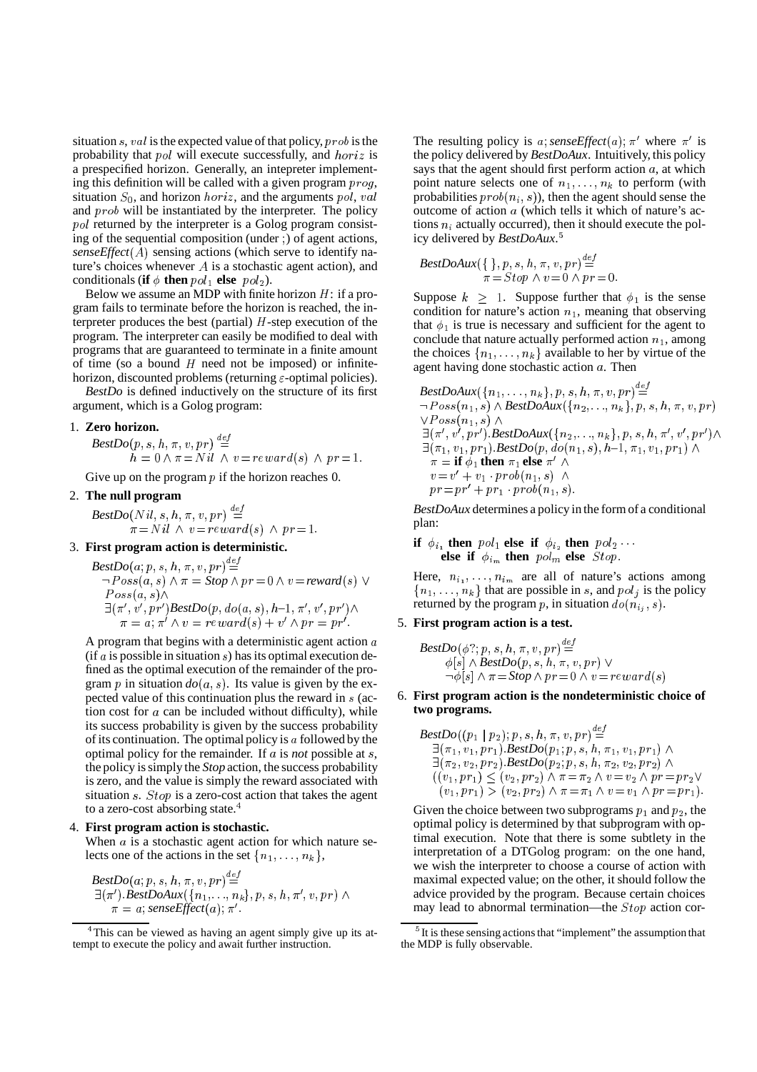situation  $s$ ,  $val$  is the expected value of that policy,  $prob$  is the probability that  $pol$  will execute successfully, and  $horiz$  is a prespecified horizon. Generally, an intepreter implementing this definition will be called with a given program  $prog$ , situation  $S_0$ , and horizon  $horiz$ , and the arguments pol, val and  $prob$  will be instantiated by the interpreter. The policy  $pol$  returned by the interpreter is a Golog program consisting of the sequential composition (under ) of agent actions,  $senseEffect(A)$  sensing actions (which serve to identify nature's choices whenever  $A$  is a stochastic agent action), and conditionals (**if**  $\phi$  **then**  $pol_1$  **else**  $pol_2$ ).

Below we assume an MDP with finite horizon  $H$ : if a program fails to terminate before the horizon is reached, the interpreter produces the best (partial)  $H$ -step execution of the program. The interpreter can easily be modified to deal with programs that are guaranteed to terminate in a finite amount of time (so a bound  $H$  need not be imposed) or infinitehorizon, discounted problems (returning  $\varepsilon$ -optimal policies).

*BestDo* is defined inductively on the structure of its first argument, which is a Golog program:

#### 1. **Zero horizon.**

 $\textit{BestDo}(p, s, h, \pi, v, pr) \overset{\textit{def}}{=}$  $n = 0 \wedge \pi = N u \wedge v = reward(s) \wedge pr = 1.$ 

Give up on the program  $p$  if the horizon reaches 0.

# 2. **The null program**

 $\textit{BestDo}(Nil,s,h,\pi,v,pr) \stackrel{def}{=}$  $\hat{\pi} = N i l \wedge v = revard(s) \wedge pr = 1.$ 

#### 3. **First program action is deterministic.**

$$
BestDo(a; p, s, h, \pi, v, pr) \stackrel{def}{=} \n\neg Poss(a, s) \land \pi = Stop \land pr = 0 \land v = reward(s) \lor
$$
\n
$$
Poss(a, s) \land \n\exists (\pi', v', pr') BestDo(p, do(a, s), h-1, \pi', v', pr') \land
$$
\n
$$
\pi = a; \pi' \land v = reward(s) + v' \land pr = pr'.
$$
\n5. First

A program that begins with a deterministic agent action  $a$ (if  $a$  is possible in situation  $s$ ) has its optimal execution defined as the optimal execution of the remainder of the program  $p$  in situation  $do(a, s)$ . Its value is given by the expected value of this continuation plus the reward in  $s$  (action cost for  $a$  can be included without difficulty), while its success probability is given by the success probability of its continuation. The optimal policy is  $a$  followed by the optimal policy for the remainder. If  $\alpha$  is *not* possible at  $\delta$ , the policy issimply the *Stop* action, the success probability is zero, and the value is simply the reward associated with situation  $s$ . *Stop* is a zero-cost action that takes the agent to a zero-cost absorbing state.<sup>4</sup>

#### 4. **First program action is stochastic.**

When  $a$  is a stochastic agent action for which nature selects one of the actions in the set  $\{n_1, \ldots, n_k\},\$ 

$$
BestDo(a; p, s, h, \pi, v, pr) \stackrel{def}{=} \exists (\pi'). BestDoAux(\{n_1, \ldots, n_k\}, p, s, h, \pi', v, pr) \land \pi = a; senseEffect(a); \pi'.
$$

The resulting policy is a; senseEffect(a);  $\pi'$  where  $\pi'$  is the policy delivered by *BestDoAux*. Intuitively, this policy says that the agent should first perform action  $a$ , at which point nature selects one of  $n_1, \ldots, n_k$  to perform (with probabilities  $prob(n_i, s)$ , then the agent should sense the outcome of action  $a$  (which tells it which of nature's actions  $n_i$  actually occurred), then it should execute the policy delivered by *BestDoAux*.

$$
BestDoAux({\}, p, s, h, \pi, v, pr) \stackrel{def}{=} \\ \pi = Stop \land v = 0 \land pr = 0.
$$

Suppose  $k \geq 1$ . Suppose further that  $\phi_1$  is the sense condition for nature's action  $n_1$ , meaning that observing that  $\phi_1$  is true is necessary and sufficient for the agent to conclude that nature actually performed action  $n_1$ , among the choices  $\{n_1, \ldots, n_k\}$  available to her by virtue of the agent having done stochastic action  $a$ . Then

BestDoAux({
$$
\{n_1, \ldots, n_k\}
$$
,  $p, s, h, \pi, v, pr$ ) <sup>$\stackrel{def}{=}$</sup>   
\n $\neg Poss(n_1, s) \land BestDoAux({ $\{n_2, \ldots, n_k\}$ ,  $p, s, h, \pi, v, pr$ )  
\n $\lor Poss(n_1, s) \land$   
\n $\exists (\pi', v', pr').BestDoAux({ $\{n_2, \ldots, n_k\}$ ,  $p, s, h, \pi', v', pr')$   
\n $\exists (\pi_1, v_1, pr_1).BestDo( $p, do(n_1, s), h-1, \pi_1, v_1, pr_1) \land$   
\n $\pi = \textbf{if } \phi_1 \textbf{ then } \pi_1 \textbf{ else } \pi' \land$   
\n $v = v' + v_1 \cdot prob(n_1, s) \land$   
\n $pr = pr' + pr_1 \cdot prob(n_1, s).$$$$ 

*BestDoAux* determines a policy in the form of a conditional plan:

**if**  $\phi_{i_1}$  **then**  $pol_1$  **else if**  $\phi_{i_2}$  **then**  $pol_2 \cdots$ **else** if  $\phi_{i_m}$  then  $pol_m$  else  $Stop$ .

Here,  $n_{i_1}, \ldots, n_{i_m}$  are all of nature's actions among  $\{n_1, \ldots, n_k\}$  that are possible in s, and  $pol_i$  is the policy returned by the program p, in situation  $do(n_{i,j}, s)$ .

# 5. **First program action is a test.**

*BestDo* % +'M4 98 210 \$ ) - '# *BestDo* % 'M4 +98 :10  $\neg \phi[s] \wedge \pi = Stop \wedge pr = 0 \wedge v = reward(s)$ 

6. **First program action is the nondeterministic choice of two programs.**

$$
\begin{array}{l} \textit{BestDo}(\left(p_1 \mid p_2\right); p, s, h, \pi, v, pr) \overset{def}{=} \\ \exists \left(\pi_1, v_1, pr_1\right). \textit{BestDo}(p_1; p, s, h, \pi_1, v_1, pr_1) \; \land \\ \exists \left(\pi_2, v_2, pr_2\right). \textit{BestDo}(p_2; p, s, h, \pi_2, v_2, pr_2) \; \land \\ \left((v_1, pr_1) \leq (v_2, pr_2) \land \pi = \pi_2 \land v = v_2 \land pr = pr_2 \lor \\ \left(v_1, pr_1\right) > \left(v_2, pr_2\right) \land \pi = \pi_1 \land v = v_1 \land pr = pr_1). \end{array}
$$

Given the choice between two subprograms  $p_1$  and  $p_2$ , the optimal policy is determined by that subprogram with optimal execution. Note that there is some subtlety in the interpretation of a DTGolog program: on the one hand, we wish the interpreter to choose a course of action with maximal expected value; on the other, it should follow the advice provided by the program. Because certain choices may lead to abnormal termination—the  $Stop$  action cor-

<sup>&</sup>lt;sup>4</sup>This can be viewed as having an agent simply give up its attempt to execute the policy and await further instruction.

 $5$  It is these sensing actions that "implement" the assumption that the MDP is fully observable.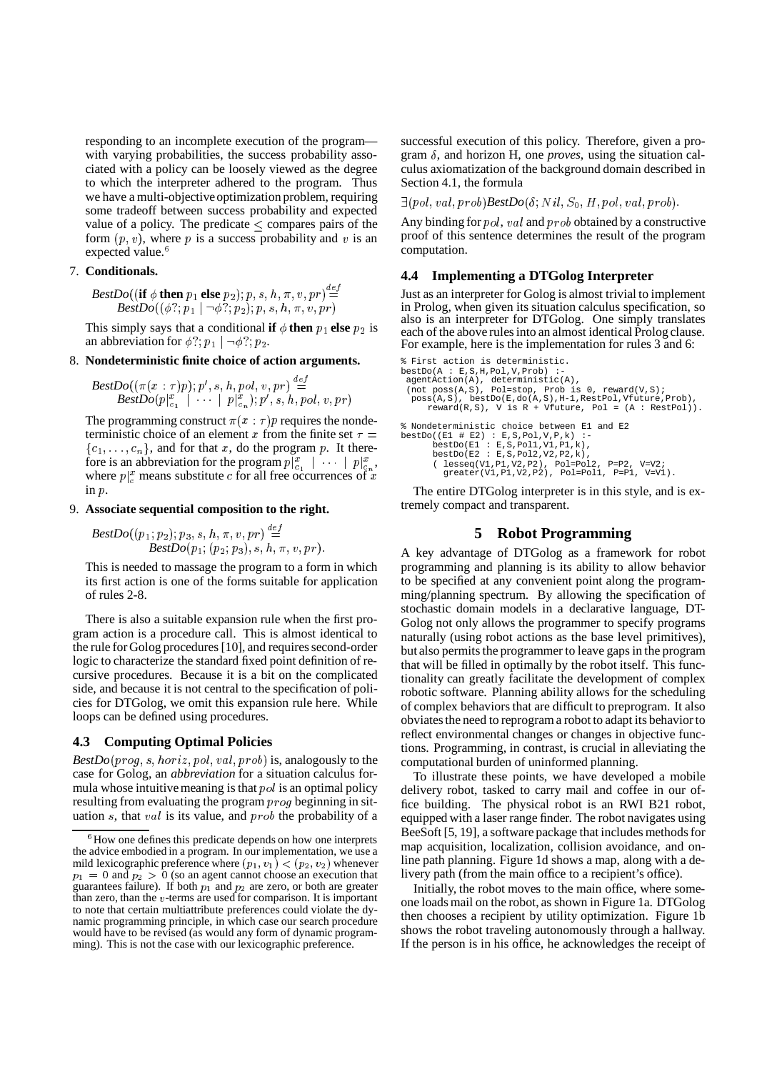responding to an incomplete execution of the program with varying probabilities, the success probability associated with a policy can be loosely viewed as the degree to which the interpreter adhered to the program. Thus we have a multi-objectiveoptimization problem, requiring some tradeoff between success probability and expected value of a policy. The predicate  $\leq$  compares pairs of the form  $(p, v)$ , where p is a success probability and v is an expected value.<sup>6</sup>

# 7. **Conditionals.**

 $BestDo((if \phi then p_1 else p_2); p, s, h, \pi, v, pr) \stackrel{def}{=}$  $\textit{BestDo}((\phi ?; p_1 \mid \neg \phi ?; p_2); p, s, h, \pi, v, pr)$ 

This simply says that a conditional **if**  $\phi$  **then**  $p_1$  **else**  $p_2$  is  $q_2$ an abbreviation for  $\phi$ ?;  $p_1 \mid \neg \phi$ ?;  $p_2$ .

# G 8. **Nondeterministic finite choice of action arguments.**

$$
\frac{BestDo((\pi(x:\tau)p); p', s, h, pol, v, pr)}{BestDo(p|_{c_1}^x \mid \cdots \mid p|_{c_n}^x); p', s, h, pol, v, pr)}
$$

The programming construct  $\pi(x : \tau)p$  requires the nondeterministic choice of an element x from the finite set  $\tau =$  $\{c_1, \ldots, c_n\}$ , and for that x, do the program p. It therefore is an abbreviation for the program  $p|_{c_1}^x$  |  $\cdots$  |  $p|_{c_n}^x$ , where  $p|_c^x$  means substitute c for all free occurrences of x  $\sin p$ .

# 9. **Associate sequential composition to the right.**

 $\textit{BestDo}((p_1; p_2); p_3, s, h, \pi, v, pr) \stackrel{def}{=}$  $\overline{BestDo(p_1; (p_2; p_3), s, h, \pi, v, pr)}.$ 

This is needed to massage the program to a form in which its first action is one of the forms suitable for application of rules 2-8.

There is also a suitable expansion rule when the first program action is a procedure call. This is almost identical to the rule for Golog procedures [10], and requires second-order logic to characterize the standard fixed point definition of recursive procedures. Because it is a bit on the complicated side, and because it is not central to the specification of policies for DTGolog, we omit this expansion rule here. While loops can be defined using procedures.

# **4.3 Computing Optimal Policies**

*BestDo* %21c#3 'U4 c5567 c"W/8M,UW/21c59D0 is, analogously to the case for Golog, an *abbreviation* for a situation calculus formula whose intuitive meaning is that  $pol$  is an optimal policy resulting from evaluating the program  $\text{proj}_q$  beginning in situation  $s$ , that  $val$  is its value, and  $prob$  the probability of a

successful execution of this policy. Therefore, given a program  $\delta$ , and horizon H, one *proves*, using the situation calculus axiomatization of the background domain described in Section 4.1, the formula

 $\exists (pol, val, prob) \textit{BestDo} (\delta; Nil, S_0, H, pol, val, prob).$ 

Any binding for  $pol$ ,  $val$  and  $prob$  obtained by a constructive proof of this sentence determines the result of the program computation.

# **4.4 Implementing a DTGolog Interpreter**

 $\Xi$  Just as an interpreter for Golog is almost trivial to implement in Prolog, when given its situation calculus specification, so also is an interpreter for DTGolog. One simply translates each of the above rules into an almost identical Prolog clause. For example, here is the implementation for rules 3 and 6:

```
% First action is deterministic.
bestDo(A : E, S, H, Pol, V, Prob)agentAction(A), deterministic(A),
(not poss(A,S), Pol=stop, Prob is 0, reward(V,S);
   poss(A,S), bestDo(E,do(A,S),H-1,RestPol,Vfuture,Prob),
reward(R,S), V is R + Vfuture, Pol = (A : RestPol)).
% Nondeterministic choice between E1 and E2
bestDo((E1 # E2) : E,S,Pol,V,P,k) :-
bestDo(E1 : E,S,Pol1,V1,P1,k),
bestDo(E2 : E,S,Pol2,V2,P2,k),
           ( lesseq(V1,P1,V2,P2), Pol=Pol2, P=P2, V=V2;
greater(V1,P1,V2,P2), Pol=Pol1, P=P1, V=V1).
```
The entire DTGolog interpreter is in this style, and is extremely compact and transparent.

# **5 Robot Programming**

A key advantage of DTGolog as a framework for robot programming and planning is its ability to allow behavior to be specified at any convenient point along the programming/planning spectrum. By allowing the specification of stochastic domain models in a declarative language, DT-Golog not only allows the programmer to specify programs naturally (using robot actions as the base level primitives), but also permits the programmer to leave gaps in the program that will be filled in optimally by the robot itself. This functionality can greatly facilitate the development of complex robotic software. Planning ability allows for the scheduling of complex behaviors that are difficult to preprogram. It also obviatesthe need to reprogram a robot to adapt its behaviorto reflect environmental changes or changes in objective functions. Programming, in contrast, is crucial in alleviating the computational burden of uninformed planning.

To illustrate these points, we have developed a mobile delivery robot, tasked to carry mail and coffee in our office building. The physical robot is an RWI B21 robot, equipped with a laser range finder. The robot navigates using BeeSoft [5, 19], a software package that includes methods for map acquisition, localization, collision avoidance, and online path planning. Figure 1d shows a map, along with a delivery path (from the main office to a recipient's office).

Initially, the robot moves to the main office, where someone loads mail on the robot, as shown in Figure 1a. DTGolog then chooses a recipient by utility optimization. Figure 1b shows the robot traveling autonomously through a hallway. If the person is in his office, he acknowledges the receipt of

 ${}^{6}$ How one defines this predicate depends on how one interprets the advice embodied in a program. In our implementation, we use a mild lexicographic preference where  $(p_1, v_1) < (p_2, v_2)$  whenever  $p_1 = 0$  and  $p_2 > 0$  (so an agent cannot choose an execution that guarantees failure). If both  $p_1$  and  $p_2$  are zero, or both are greater than zero, than the  $v$ -terms are used for comparison. It is important to note that certain multiattribute preferences could violate the dynamic programming principle, in which case our search procedure would have to be revised (as would any form of dynamic programming). This is not the case with our lexicographic preference.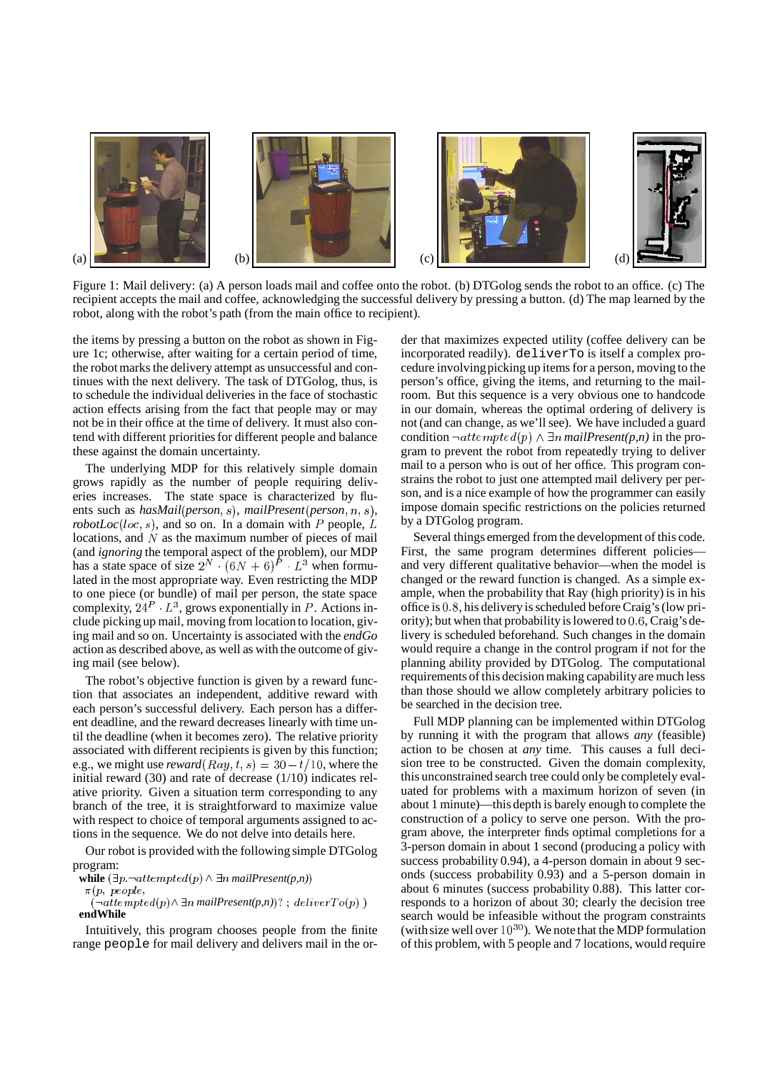

Figure 1: Mail delivery: (a) A person loads mail and coffee onto the robot. (b) DTGolog sends the robot to an office. (c) The recipient accepts the mail and coffee, acknowledging the successful delivery by pressing a button. (d) The map learned by the robot, along with the robot's path (from the main office to recipient).

the items by pressing a button on the robot as shown in Figure 1c; otherwise, after waiting for a certain period of time, the robot marks the delivery attempt as unsuccessful and continues with the next delivery. The task of DTGolog, thus, is to schedule the individual deliveries in the face of stochastic action effects arising from the fact that people may or may not be in their office at the time of delivery. It must also contend with different priorities for different people and balance these against the domain uncertainty.

The underlying MDP for this relatively simple domain grows rapidly as the number of people requiring deliveries increases. The state space is characterized by fluents such as  $hasMail(person, s)$ ,  $mailPresent(person, n, s)$ , *robotLoc*(loc, s), and so on. In a domain with P people, L by a D1 locations, and  $N$  as the maximum number of pieces of mail (and *ignoring* the temporal aspect of the problem), our MDP has a state space of size  $2^N \cdot (6N+6)^P \cdot L^3$  when formulated in the most appropriate way. Even restricting the MDP to one piece (or bundle) of mail per person, the state space complexity,  $24^P$   $L^3$ , grows exponentially in P. Actions include picking up mail, moving from location to location, giving mail and so on. Uncertainty is associated with the *endGo* action as described above, as well as with the outcome of giving mail (see below).

The robot's objective function is given by a reward function that associates an independent, additive reward with each person's successful delivery. Each person has a different deadline, and the reward decreases linearly with time until the deadline (when it becomes zero). The relative priority associated with different recipients is given by this function; e.g., we might use  $reward(Ray, t, s) = 30 - t/10$ , where the initial reward (30) and rate of decrease (1/10) indicates relative priority. Given a situation term corresponding to any branch of the tree, it is straightforward to maximize value with respect to choice of temporal arguments assigned to actions in the sequence. We do not delve into details here.

Our robot is provided with the following simple DTGolog program:

**while**  $(\exists p. \neg \text{attempted}(p) \land \exists n \text{ mailPresent}(p,n))$ 

 $\pi(n)$  neonle.  $\cdots$   $\cdots$  $\mathbf{r}$ 

 $(\neg \textit{attempted}(p) \wedge \exists n \ \textit{mailPresent}(p,n))$   $:\;\textit{deliverTo}(p)$   $)$ **endWhile**

Intuitively, this program chooses people from the finite range people for mail delivery and delivers mail in the order that maximizes expected utility (coffee delivery can be incorporated readily). deliverTo is itself a complex procedure involvingpicking up items for a person, moving to the person's office, giving the items, and returning to the mailroom. But this sequence is a very obvious one to handcode in our domain, whereas the optimal ordering of delivery is not (and can change, as we'll see). We have included a guard condition  $\neg$ *attempted* $(p) \land \exists n$  *mailPresent* $(p,n)$  in the program to prevent the robot from repeatedly trying to deliver mail to a person who is out of her office. This program constrains the robot to just one attempted mail delivery per person, and is a nice example of how the programmer can easily impose domain specific restrictions on the policies returned by a DTGolog program.

Several things emerged from the development of this code. First, the same program determines different policies and very different qualitative behavior—when the model is changed or the reward function is changed. As a simple example, when the probability that Ray (high priority) is in his office is  $0.8$ , his delivery is scheduled before Craig's (low priority); but when that probability is lowered to  $0.6$ , Craig's delivery is scheduled beforehand. Such changes in the domain would require a change in the control program if not for the planning ability provided by DTGolog. The computational requirements of this decision making capability are much less than those should we allow completely arbitrary policies to be searched in the decision tree.

Full MDP planning can be implemented within DTGolog by running it with the program that allows *any* (feasible) action to be chosen at *any* time. This causes a full decision tree to be constructed. Given the domain complexity, this unconstrained search tree could only be completely evaluated for problems with a maximum horizon of seven (in about 1 minute)—this depth is barely enough to complete the construction of a policy to serve one person. With the program above, the interpreter finds optimal completions for a 3-person domain in about 1 second (producing a policy with success probability 0.94), a 4-person domain in about 9 seconds (success probability 0.93) and a 5-person domain in about 6 minutes (success probability 0.88). This latter corresponds to a horizon of about 30; clearly the decision tree search would be infeasible without the program constraints (with size well over  $10^{30}$ ). We note that the MDP formulation of this problem, with 5 people and 7 locations, would require